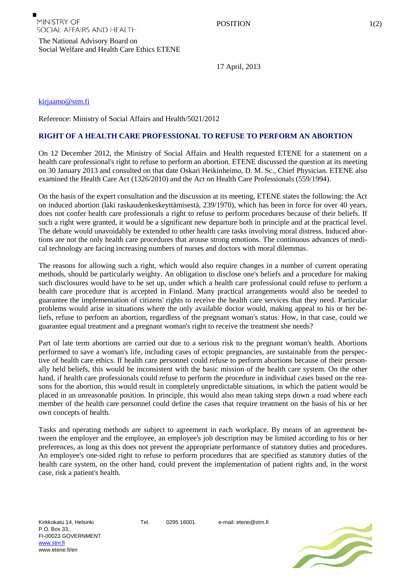The National Advisory Board on Social Welfare and Health Care Ethics ETENE

17 April, 2013

[kirjaamo@stm.fi](mailto:kirjaamo@stm.fi)

Reference: Ministry of Social Affairs and Health/5021/2012

## **RIGHT OF A HEALTH CARE PROFESSIONAL TO REFUSE TO PERFORM AN ABORTION**

On 12 December 2012, the Ministry of Social Affairs and Health requested ETENE for a statement on a health care professional's right to refuse to perform an abortion. ETENE discussed the question at its meeting on 30 January 2013 and consulted on that date Oskari Heikinheimo, D. M. Sc., Chief Physician. ETENE also examined the Health Care Act (1326/2010) and the Act on Health Care Professionals (559/1994).

On the basis of the expert consultation and the discussion at its meeting, ETENE states the following: the Act on induced abortion (laki raskaudenkeskeyttämisestä, 239/1970), which has been in force for over 40 years, does not confer health care professionals a right to refuse to perform procedures because of their beliefs. If such a right were granted, it would be a significant new departure both in principle and at the practical level. The debate would unavoidably be extended to other health care tasks involving moral distress. Induced abortions are not the only health care procedures that arouse strong emotions. The continuous advances of medical technology are facing increasing numbers of nurses and doctors with moral dilemmas.

The reasons for allowing such a right, which would also require changes in a number of current operating methods, should be particularly weighty. An obligation to disclose one's beliefs and a procedure for making such disclosures would have to be set up, under which a health care professional could refuse to perform a health care procedure that is accepted in Finland. Many practical arrangements would also be needed to guarantee the implementation of citizens' rights to receive the health care services that they need. Particular problems would arise in situations where the only available doctor would, making appeal to his or her beliefs, refuse to perform an abortion, regardless of the pregnant woman's status. How, in that case, could we guarantee equal treatment and a pregnant woman's right to receive the treatment she needs?

Part of late term abortions are carried out due to a serious risk to the pregnant woman's health. Abortions performed to save a woman's life, including cases of ectopic pregnancies, are sustainable from the perspective of health care ethics. If health care personnel could refuse to perform abortions because of their personally held beliefs, this would be inconsistent with the basic mission of the health care system. On the other hand, if health care professionals could refuse to perform the procedure in individual cases based on the reasons for the abortion, this would result in completely unpredictable situations, in which the patient would be placed in an unreasonable position. In principle, this would also mean taking steps down a road where each member of the health care personnel could define the cases that require treatment on the basis of his or her own concepts of health.

Tasks and operating methods are subject to agreement in each workplace. By means of an agreement between the employer and the employee, an employee's job description may be limited according to his or her preferences, as long as this does not prevent the appropriate performance of statutory duties and procedures. An employee's one-sided right to refuse to perform procedures that are specified as statutory duties of the health care system, on the other hand, could prevent the implementation of patient rights and, in the worst case, risk a patient's health.